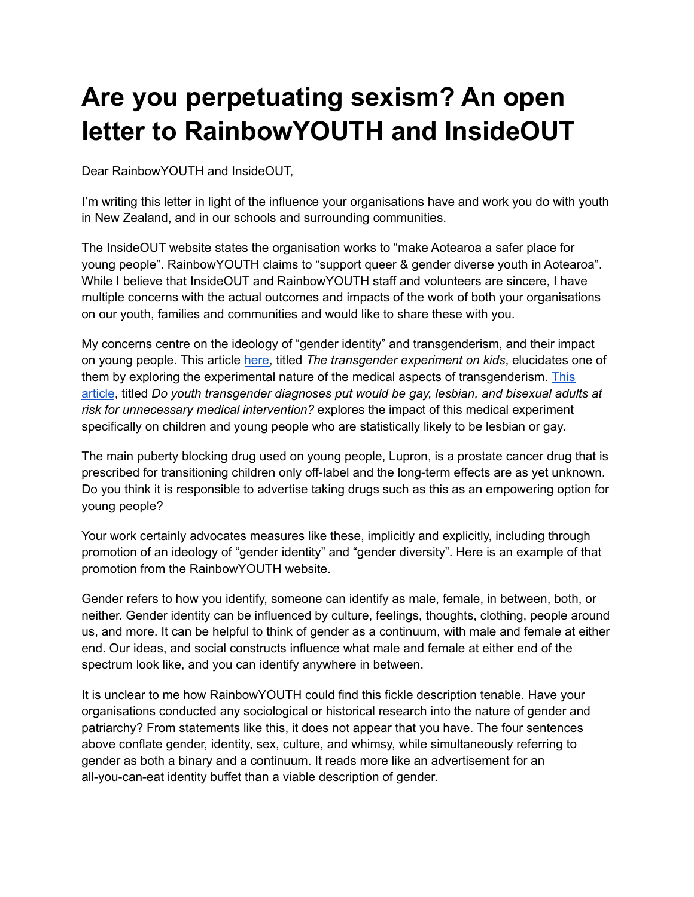# **Are you perpetuating sexism? An open letter to RainbowYOUTH and InsideOUT**

Dear RainbowYOUTH and InsideOUT,

I'm writing this letter in light of the influence your organisations have and work you do with youth in New Zealand, and in our schools and surrounding communities.

The InsideOUT website states the organisation works to "make Aotearoa a safer place for young people". RainbowYOUTH claims to "support queer & gender diverse youth in Aotearoa". While I believe that InsideOUT and RainbowYOUTH staff and volunteers are sincere, I have multiple concerns with the actual outcomes and impacts of the work of both your organisations on our youth, families and communities and would like to share these with you.

My concerns centre on the ideology of "gender identity" and transgenderism, and their impact on young people. This article [here,](https://stephaniedaviesarai.com/the-transgender-experiment-on-kids/) titled *The transgender experiment on kids*, elucidates one of them by exploring the experimental nature of the medical aspects of transgenderism. [This](http://www.thehomoarchy.com/do-youth-transgender-diagnoses-put-would-be-gay-lesbian-bisexual-adults-at-risk-for-unnecessary-medical-intervention/) [article](http://www.thehomoarchy.com/do-youth-transgender-diagnoses-put-would-be-gay-lesbian-bisexual-adults-at-risk-for-unnecessary-medical-intervention/), titled *Do youth transgender diagnoses put would be gay, lesbian, and bisexual adults at risk for unnecessary medical intervention?* explores the impact of this medical experiment specifically on children and young people who are statistically likely to be lesbian or gay.

The main puberty blocking drug used on young people, Lupron, is a prostate cancer drug that is prescribed for transitioning children only off-label and the long-term effects are as yet unknown. Do you think it is responsible to advertise taking drugs such as this as an empowering option for young people?

Your work certainly advocates measures like these, implicitly and explicitly, including through promotion of an ideology of "gender identity" and "gender diversity". Here is an example of that promotion from the RainbowYOUTH website.

Gender refers to how you identify, someone can identify as male, female, in between, both, or neither. Gender identity can be influenced by culture, feelings, thoughts, clothing, people around us, and more. It can be helpful to think of gender as a continuum, with male and female at either end. Our ideas, and social constructs influence what male and female at either end of the spectrum look like, and you can identify anywhere in between.

It is unclear to me how RainbowYOUTH could find this fickle description tenable. Have your organisations conducted any sociological or historical research into the nature of gender and patriarchy? From statements like this, it does not appear that you have. The four sentences above conflate gender, identity, sex, culture, and whimsy, while simultaneously referring to gender as both a binary and a continuum. It reads more like an advertisement for an all-you-can-eat identity buffet than a viable description of gender.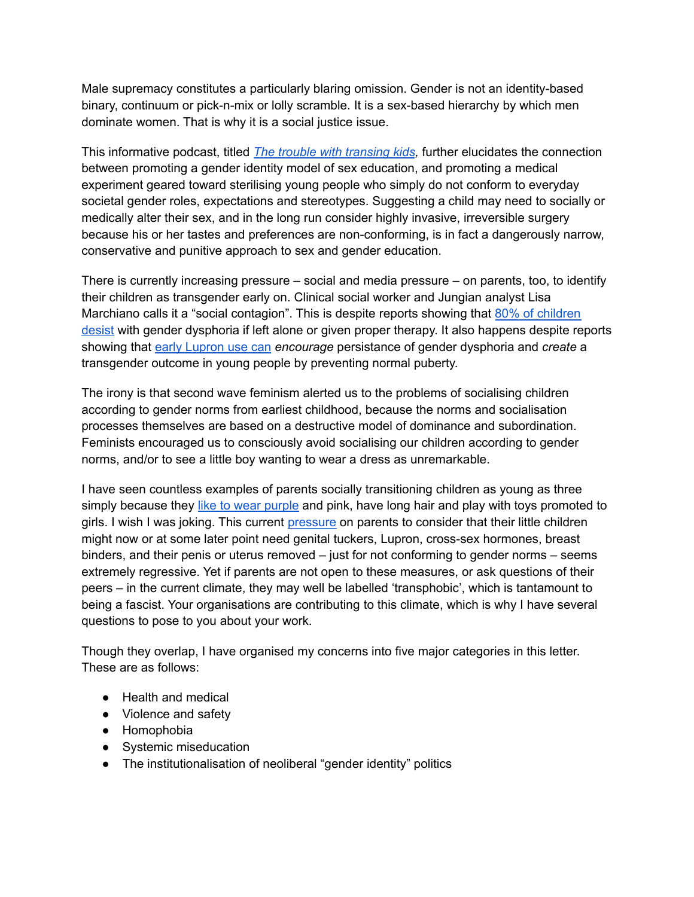Male supremacy constitutes a particularly blaring omission. Gender is not an identity-based binary, continuum or pick-n-mix or lolly scramble. It is a sex-based hierarchy by which men dominate women. That is why it is a social justice issue.

This informative podcast, titled *The trouble with [transing](http://www.feministcurrent.com/2016/10/02/podcast-trouble-transing-kids/) kids,* further elucidates the connection between promoting a gender identity model of sex education, and promoting a medical experiment geared toward sterilising young people who simply do not conform to everyday societal gender roles, expectations and stereotypes. Suggesting a child may need to socially or medically alter their sex, and in the long run consider highly invasive, irreversible surgery because his or her tastes and preferences are non-conforming, is in fact a dangerously narrow, conservative and punitive approach to sex and gender education.

There is currently increasing pressure – social and media pressure – on parents, too, to identify their children as transgender early on. Clinical social worker and Jungian analyst Lisa Marchiano calls it a "social contagion". This is despite reports showing that 80% of [children](http://nymag.com/scienceofus/2016/07/whats-missing-from-the-conversation-about-transgender-kids.html) [desist](http://nymag.com/scienceofus/2016/07/whats-missing-from-the-conversation-about-transgender-kids.html) with gender dysphoria if left alone or given proper therapy. It also happens despite reports showing that early [Lupron](http://www.thehomoarchy.com/do-youth-transgender-diagnoses-put-would-be-gay-lesbian-bisexual-adults-at-risk-for-unnecessary-medical-intervention/) use can *encourage* persistance of gender dysphoria and *create* a transgender outcome in young people by preventing normal puberty.

The irony is that second wave feminism alerted us to the problems of socialising children according to gender norms from earliest childhood, because the norms and socialisation processes themselves are based on a destructive model of dominance and subordination. Feminists encouraged us to consciously avoid socialising our children according to gender norms, and/or to see a little boy wanting to wear a dress as unremarkable.

I have seen countless examples of parents socially transitioning children as young as three simply because they like to wear [purple](http://m.nzherald.co.nz/nz/news/article.cfm?c_id=1&objectid=11722176) and pink, have long hair and play with toys promoted to girls. I wish I was joking. This current [pressure](http://www.theguardian.com/lifeandstyle/2016/apr/23/a-letter-to-my-little-girl-who-identifies-as-a-boy) on parents to consider that their little children might now or at some later point need genital tuckers, Lupron, cross-sex hormones, breast binders, and their penis or uterus removed – just for not conforming to gender norms – seems extremely regressive. Yet if parents are not open to these measures, or ask questions of their peers – in the current climate, they may well be labelled 'transphobic', which is tantamount to being a fascist. Your organisations are contributing to this climate, which is why I have several questions to pose to you about your work.

Though they overlap, I have organised my concerns into five major categories in this letter. These are as follows:

- Health and medical
- Violence and safety
- Homophobia
- Systemic miseducation
- The institutionalisation of neoliberal "gender identity" politics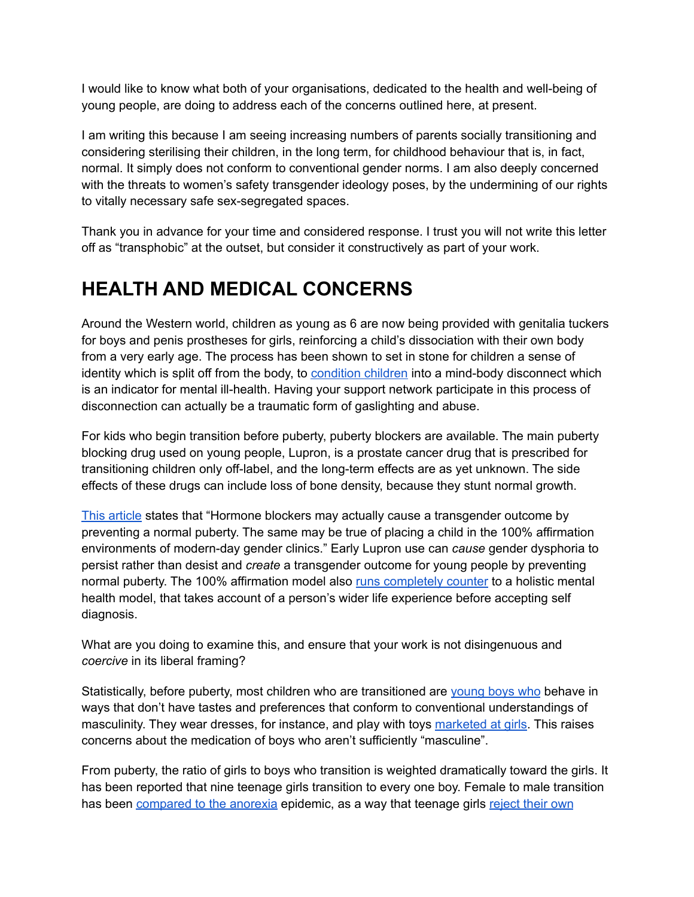I would like to know what both of your organisations, dedicated to the health and well-being of young people, are doing to address each of the concerns outlined here, at present.

I am writing this because I am seeing increasing numbers of parents socially transitioning and considering sterilising their children, in the long term, for childhood behaviour that is, in fact, normal. It simply does not conform to conventional gender norms. I am also deeply concerned with the threats to women's safety transgender ideology poses, by the undermining of our rights to vitally necessary safe sex-segregated spaces.

Thank you in advance for your time and considered response. I trust you will not write this letter off as "transphobic" at the outset, but consider it constructively as part of your work.

#### **HEALTH AND MEDICAL CONCERNS**

Around the Western world, children as young as 6 are now being provided with genitalia tuckers for boys and penis prostheses for girls, reinforcing a child's dissociation with their own body from a very early age. The process has been shown to set in stone for children a sense of identity which is split off from the body, to [condition](http://www.transgendertrend.com/brighton-council-wrong/) children into a mind-body disconnect which is an indicator for mental ill-health. Having your support network participate in this process of disconnection can actually be a traumatic form of gaslighting and abuse.

For kids who begin transition before puberty, puberty blockers are available. The main puberty blocking drug used on young people, Lupron, is a prostate cancer drug that is prescribed for transitioning children only off-label, and the long-term effects are as yet unknown. The side effects of these drugs can include loss of bone density, because they stunt normal growth.

This [article](http://www.thehomoarchy.com/do-youth-transgender-diagnoses-put-would-be-gay-lesbian-bisexual-adults-at-risk-for-unnecessary-medical-intervention/) states that "Hormone blockers may actually cause a transgender outcome by preventing a normal puberty. The same may be true of placing a child in the 100% affirmation environments of modern-day gender clinics." Early Lupron use can *cause* gender dysphoria to persist rather than desist and *create* a transgender outcome for young people by preventing normal puberty. The 100% affirmation model also runs [completely](http://www.feministcurrent.com/2016/10/02/podcast-trouble-transing-kids/) counter to a holistic mental health model, that takes account of a person's wider life experience before accepting self diagnosis.

What are you doing to examine this, and ensure that your work is not disingenuous and *coercive* in its liberal framing?

Statistically, before puberty, most children who are transitioned are [young](https://inpermanentopposition.com/2016/07/26/making-boys-breaking-girls/) boys who behave in ways that don't have tastes and preferences that conform to conventional understandings of masculinity. They wear dresses, for instance, and play with toys [marketed](https://www.facebook.com/lollyanddoodlepage/?hc_ref=SEARCH&fref=nf) at girls. This raises concerns about the medication of boys who aren't sufficiently "masculine".

From puberty, the ratio of girls to boys who transition is weighted dramatically toward the girls. It has been reported that nine teenage girls transition to every one boy. Female to male transition has been [compared](http://thefederalist.com/2016/06/27/why-is-transgender-an-identity-but-anorexia-a-disorder/) to the anorexia epidemic, as a way that teenage girls [reject](http://ordinary-gentlemen.com/2016/09/02/glosswitch-anorexia-breast-binding-and-the-legitimisation-of-body-hatred/) their own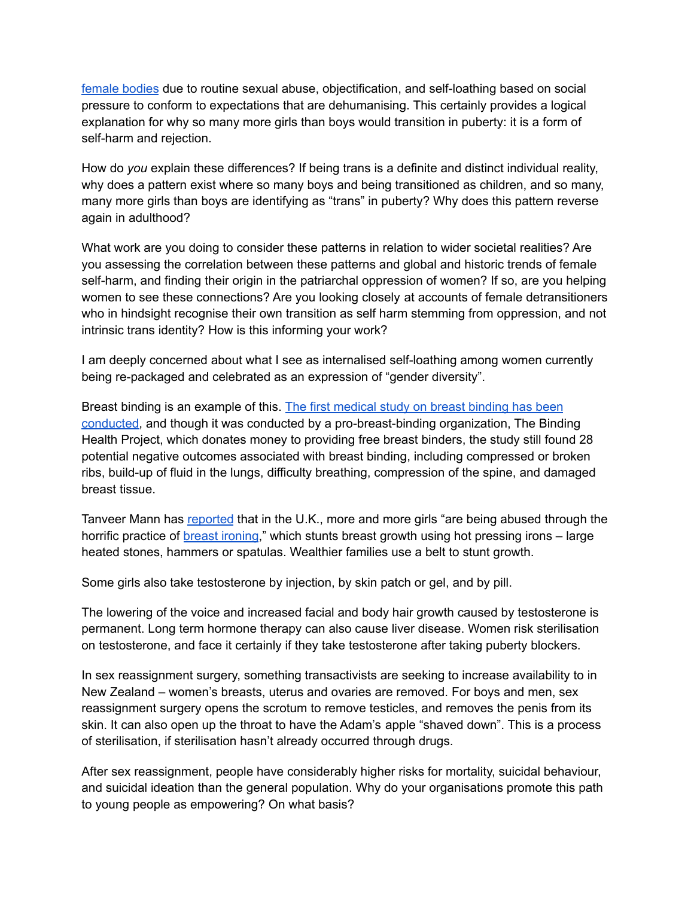[female](http://ordinary-gentlemen.com/2016/09/02/glosswitch-anorexia-breast-binding-and-the-legitimisation-of-body-hatred/) bodies due to routine sexual abuse, objectification, and self-loathing based on social pressure to conform to expectations that are dehumanising. This certainly provides a logical explanation for why so many more girls than boys would transition in puberty: it is a form of self-harm and rejection.

How do *you* explain these differences? If being trans is a definite and distinct individual reality, why does a pattern exist where so many boys and being transitioned as children, and so many, many more girls than boys are identifying as "trans" in puberty? Why does this pattern reverse again in adulthood?

What work are you doing to consider these patterns in relation to wider societal realities? Are you assessing the correlation between these patterns and global and historic trends of female self-harm, and finding their origin in the patriarchal oppression of women? If so, are you helping women to see these connections? Are you looking closely at accounts of female detransitioners who in hindsight recognise their own transition as self harm stemming from oppression, and not intrinsic trans identity? How is this informing your work?

I am deeply concerned about what I see as internalised self-loathing among women currently being re-packaged and celebrated as an expression of "gender diversity".

Breast binding is an example of this. The first [medical](https://broadly.vice.com/en_us/article/chest-binding-health-project-inside-landmark-overdue-transgender-study) study on breast binding has been [conducted,](https://broadly.vice.com/en_us/article/chest-binding-health-project-inside-landmark-overdue-transgender-study) and though it was conducted by a pro-breast-binding organization, The Binding Health Project, which donates money to providing free breast binders, the study still found 28 potential negative outcomes associated with breast binding, including compressed or broken ribs, build-up of fluid in the lungs, difficulty breathing, compression of the spine, and damaged breast tissue.

Tanveer Mann has [reported](http://metro.co.uk/2016/03/20/the-brutal-practice-of-breast-ironing-is-becoming-endemic-in-the-uk-5764076/) that in the U.K., more and more girls "are being abused through the horrific practice of **breast [ironing](https://glosswatch.com/2016/08/04/we-need-to-call-breast-binding-what-it-really-is/)**," which stunts breast growth using hot pressing irons – large heated stones, hammers or spatulas. Wealthier families use a belt to stunt growth.

Some girls also take testosterone by injection, by skin patch or gel, and by pill.

The lowering of the voice and increased facial and body hair growth caused by testosterone is permanent. Long term hormone therapy can also cause liver disease. Women risk sterilisation on testosterone, and face it certainly if they take testosterone after taking puberty blockers.

In sex reassignment surgery, something transactivists are seeking to increase availability to in New Zealand – women's breasts, uterus and ovaries are removed. For boys and men, sex reassignment surgery opens the scrotum to remove testicles, and removes the penis from its skin. It can also open up the throat to have the Adam's apple "shaved down". This is a process of sterilisation, if sterilisation hasn't already occurred through drugs.

After sex reassignment, people have considerably higher risks for mortality, suicidal behaviour, and suicidal ideation than the general population. Why do your organisations promote this path to young people as empowering? On what basis?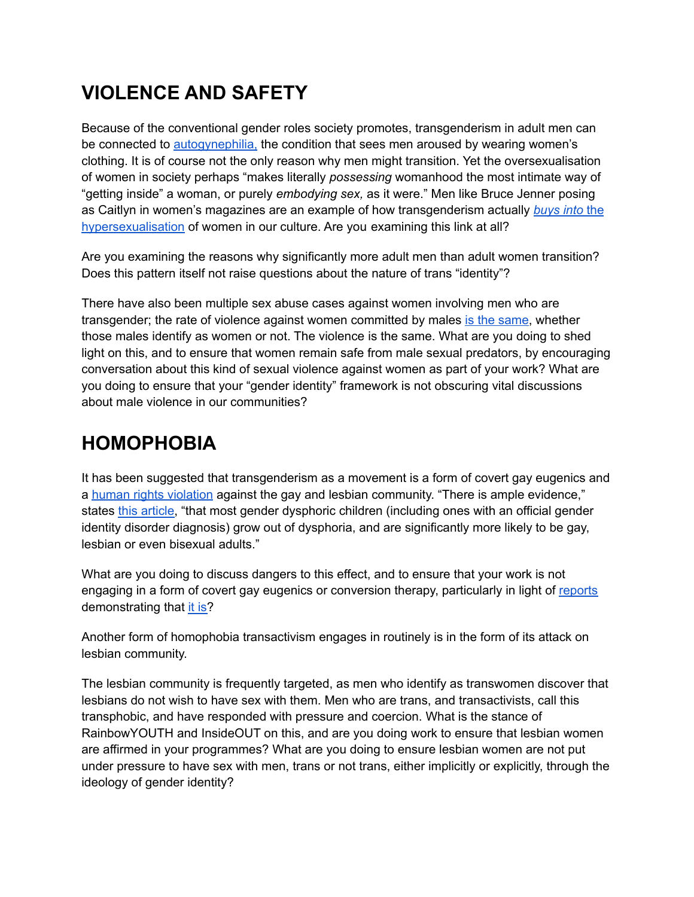## **VIOLENCE AND SAFETY**

Because of the conventional gender roles society promotes, transgenderism in adult men can be connected to [autogynephilia,](https://theperfectbirth.wordpress.com/2016/05/13/a-letter-to-the-president/) the condition that sees men aroused by wearing women's clothing. It is of course not the only reason why men might transition. Yet the oversexualisation of women in society perhaps "makes literally *possessing* womanhood the most intimate way of "getting inside" a woman, or purely *embodying sex,* as it were." Men like Bruce Jenner posing as Caitlyn in women's magazines are an example of how transgenderism actually *[buys](http://thefederalist.com/2015/06/03/how-the-hypersexual-trans-movement-hurts-feminism/) into* the [hypersexualisation](http://thefederalist.com/2015/06/03/how-the-hypersexual-trans-movement-hurts-feminism/) of women in our culture. Are you examining this link at all?

Are you examining the reasons why significantly more adult men than adult women transition? Does this pattern itself not raise questions about the nature of trans "identity"?

There have also been multiple sex abuse cases against women involving men who are transgender; the rate of violence against women committed by males is the [same,](https://www.youtube.com/watch?v=qzfwANtnmnc&app=desktop) whether those males identify as women or not. The violence is the same. What are you doing to shed light on this, and to ensure that women remain safe from male sexual predators, by encouraging conversation about this kind of sexual violence against women as part of your work? What are you doing to ensure that your "gender identity" framework is not obscuring vital discussions about male violence in our communities?

## **HOMOPHOBIA**

It has been suggested that transgenderism as a movement is a form of covert gay eugenics and a human rights [violation](http://www.thehomoarchy.com/do-youth-transgender-diagnoses-put-would-be-gay-lesbian-bisexual-adults-at-risk-for-unnecessary-medical-intervention/) against the gay and lesbian community. "There is ample evidence," states this [article,](http://www.thehomoarchy.com/do-youth-transgender-diagnoses-put-would-be-gay-lesbian-bisexual-adults-at-risk-for-unnecessary-medical-intervention/) "that most gender dysphoric children (including ones with an official gender identity disorder diagnosis) grow out of dysphoria, and are significantly more likely to be gay, lesbian or even bisexual adults."

What are you doing to discuss dangers to this effect, and to ensure that your work is not engaging in a form of covert gay eugenics or conversion therapy, particularly in light of [reports](http://www.sexologytoday.org/2016/01/do-trans-kids-stay-trans-when-they-grow_99.html) demonstrating that it [is?](http://www.feministcurrent.com/2016/10/02/podcast-trouble-transing-kids/)

Another form of homophobia transactivism engages in routinely is in the form of its attack on lesbian community.

The lesbian community is frequently targeted, as men who identify as transwomen discover that lesbians do not wish to have sex with them. Men who are trans, and transactivists, call this transphobic, and have responded with pressure and coercion. What is the stance of RainbowYOUTH and InsideOUT on this, and are you doing work to ensure that lesbian women are affirmed in your programmes? What are you doing to ensure lesbian women are not put under pressure to have sex with men, trans or not trans, either implicitly or explicitly, through the ideology of gender identity?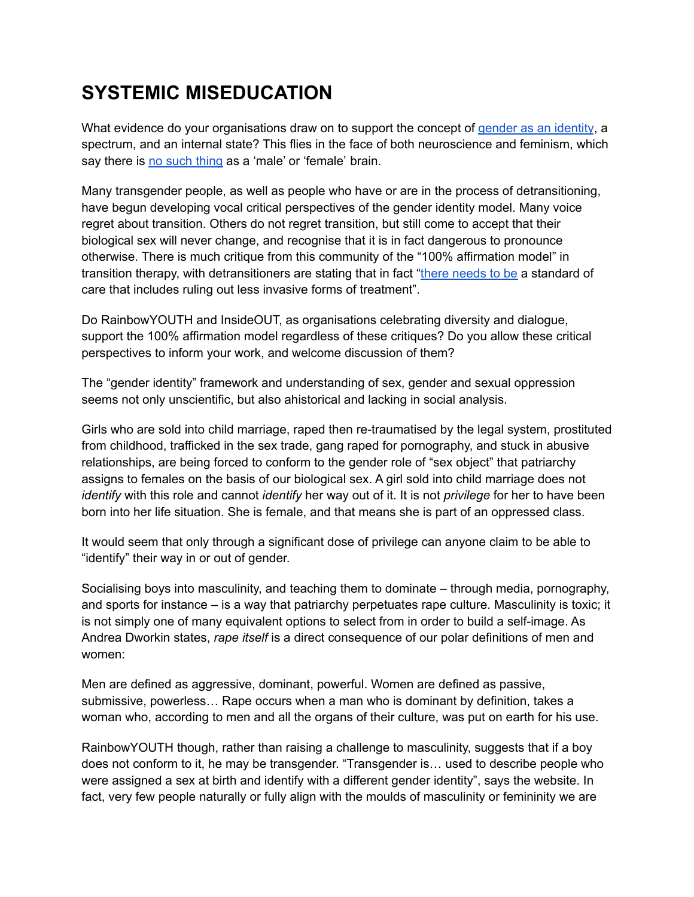#### **SYSTEMIC MISEDUCATION**

What evidence do your organisations draw on to support the concept of gender as an [identity](http://www.ry.org.nz/gender-identity/), a spectrum, and an internal state? This flies in the face of both neuroscience and feminism, which say there is no such [thing](https://www.newscientist.com/article/dn28582-scans-prove-theres-no-such-thing-as-a-male-or-female-brain/) as a 'male' or 'female' brain.

Many transgender people, as well as people who have or are in the process of detransitioning, have begun developing vocal critical perspectives of the gender identity model. Many voice regret about transition. Others do not regret transition, but still come to accept that their biological sex will never change, and recognise that it is in fact dangerous to pronounce otherwise. There is much critique from this community of the "100% affirmation model" in transition therapy, with detransitioners are stating that in fact "there [needs](https://4thwavenow.com/2016/04/21/in-praise-of-gatekeepers-an-interview-with-a-former-teen-client-of-transactive-gender-center/) to be a standard of care that includes ruling out less invasive forms of treatment".

Do RainbowYOUTH and InsideOUT, as organisations celebrating diversity and dialogue, support the 100% affirmation model regardless of these critiques? Do you allow these critical perspectives to inform your work, and welcome discussion of them?

The "gender identity" framework and understanding of sex, gender and sexual oppression seems not only unscientific, but also ahistorical and lacking in social analysis.

Girls who are sold into child marriage, raped then re-traumatised by the legal system, prostituted from childhood, trafficked in the sex trade, gang raped for pornography, and stuck in abusive relationships, are being forced to conform to the gender role of "sex object" that patriarchy assigns to females on the basis of our biological sex. A girl sold into child marriage does not *identify* with this role and cannot *identify* her way out of it. It is not *privilege* for her to have been born into her life situation. She is female, and that means she is part of an oppressed class.

It would seem that only through a significant dose of privilege can anyone claim to be able to "identify" their way in or out of gender.

Socialising boys into masculinity, and teaching them to dominate – through media, pornography, and sports for instance – is a way that patriarchy perpetuates rape culture. Masculinity is toxic; it is not simply one of many equivalent options to select from in order to build a self-image. As Andrea Dworkin states, *rape itself* is a direct consequence of our polar definitions of men and women:

Men are defined as aggressive, dominant, powerful. Women are defined as passive, submissive, powerless… Rape occurs when a man who is dominant by definition, takes a woman who, according to men and all the organs of their culture, was put on earth for his use.

RainbowYOUTH though, rather than raising a challenge to masculinity, suggests that if a boy does not conform to it, he may be transgender. "Transgender is… used to describe people who were assigned a sex at birth and identify with a different gender identity", says the website. In fact, very few people naturally or fully align with the moulds of masculinity or femininity we are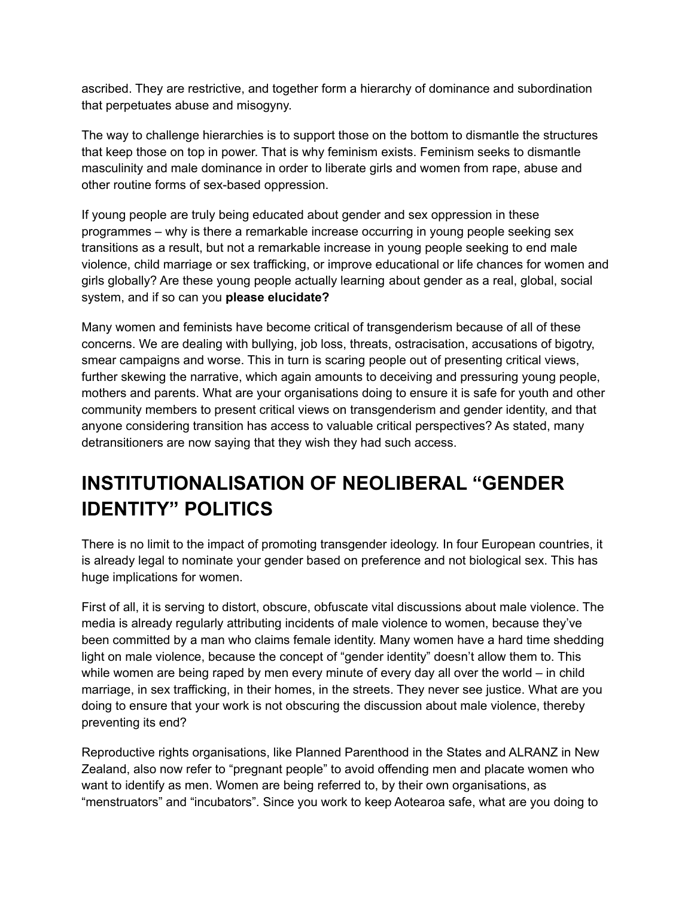ascribed. They are restrictive, and together form a hierarchy of dominance and subordination that perpetuates abuse and misogyny.

The way to challenge hierarchies is to support those on the bottom to dismantle the structures that keep those on top in power. That is why feminism exists. Feminism seeks to dismantle masculinity and male dominance in order to liberate girls and women from rape, abuse and other routine forms of sex-based oppression.

If young people are truly being educated about gender and sex oppression in these programmes – why is there a remarkable increase occurring in young people seeking sex transitions as a result, but not a remarkable increase in young people seeking to end male violence, child marriage or sex trafficking, or improve educational or life chances for women and girls globally? Are these young people actually learning about gender as a real, global, social system, and if so can you **please elucidate?**

Many women and feminists have become critical of transgenderism because of all of these concerns. We are dealing with bullying, job loss, threats, ostracisation, accusations of bigotry, smear campaigns and worse. This in turn is scaring people out of presenting critical views, further skewing the narrative, which again amounts to deceiving and pressuring young people, mothers and parents. What are your organisations doing to ensure it is safe for youth and other community members to present critical views on transgenderism and gender identity, and that anyone considering transition has access to valuable critical perspectives? As stated, many detransitioners are now saying that they wish they had such access.

## **INSTITUTIONALISATION OF NEOLIBERAL "GENDER IDENTITY" POLITICS**

There is no limit to the impact of promoting transgender ideology. In four European countries, it is already legal to nominate your gender based on preference and not biological sex. This has huge implications for women.

First of all, it is serving to distort, obscure, obfuscate vital discussions about male violence. The media is already regularly attributing incidents of male violence to women, because they've been committed by a man who claims female identity. Many women have a hard time shedding light on male violence, because the concept of "gender identity" doesn't allow them to. This while women are being raped by men every minute of every day all over the world – in child marriage, in sex trafficking, in their homes, in the streets. They never see justice. What are you doing to ensure that your work is not obscuring the discussion about male violence, thereby preventing its end?

Reproductive rights organisations, like Planned Parenthood in the States and ALRANZ in New Zealand, also now refer to "pregnant people" to avoid offending men and placate women who want to identify as men. Women are being referred to, by their own organisations, as "menstruators" and "incubators". Since you work to keep Aotearoa safe, what are you doing to